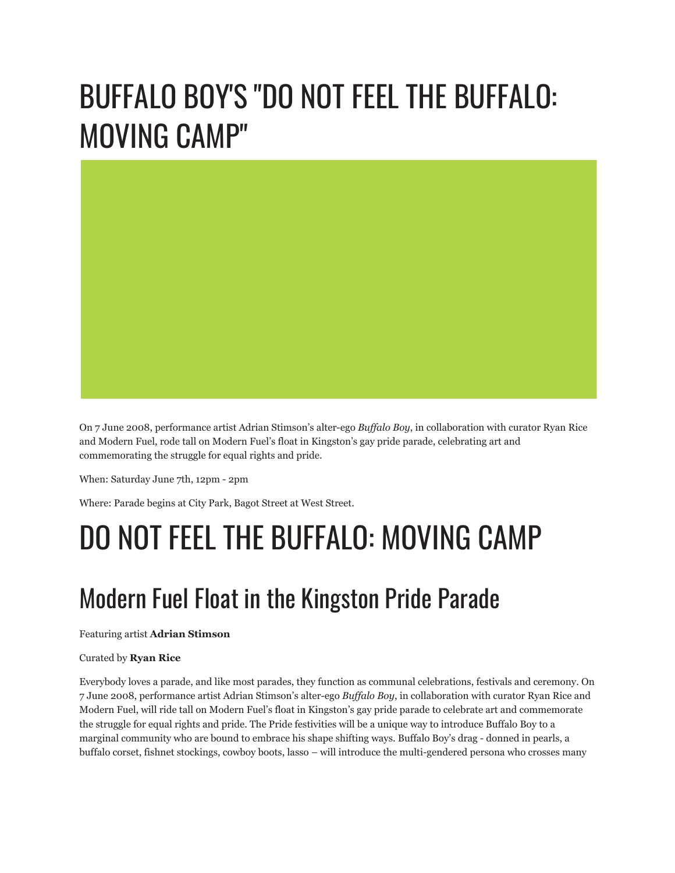# BUFFALO BOY'S "DO NOT FEEL THE BUFFALO: MOVING CAMP"



On 7 June 2008, performance artist Adrian Stimson's alter-ego *Buffalo Boy*, in collaboration with curator Ryan Rice and Modern Fuel, rode tall on Modern Fuel's float in Kingston's gay pride parade, celebrating art and commemorating the struggle for equal rights and pride.

When: Saturday June 7th, 12pm - 2pm

Where: Parade begins at City Park, Bagot Street at West Street.

## DO NOT FEEL THE BUFFALO: MOVING CAMP

## Modern Fuel Float in the Kingston Pride Parade

Featuring artist **Adrian Stimson**

#### Curated by **Ryan Rice**

Everybody loves a parade, and like most parades, they function as communal celebrations, festivals and ceremony. On 7 June 2008, performance artist Adrian Stimson's alter-ego *Buffalo Boy*, in collaboration with curator Ryan Rice and Modern Fuel, will ride tall on Modern Fuel's float in Kingston's gay pride parade to celebrate art and commemorate the struggle for equal rights and pride. The Pride festivities will be a unique way to introduce Buffalo Boy to a marginal community who are bound to embrace his shape shifting ways. Buffalo Boy's drag - donned in pearls, a buffalo corset, fishnet stockings, cowboy boots, lasso – will introduce the multi-gendered persona who crosses many